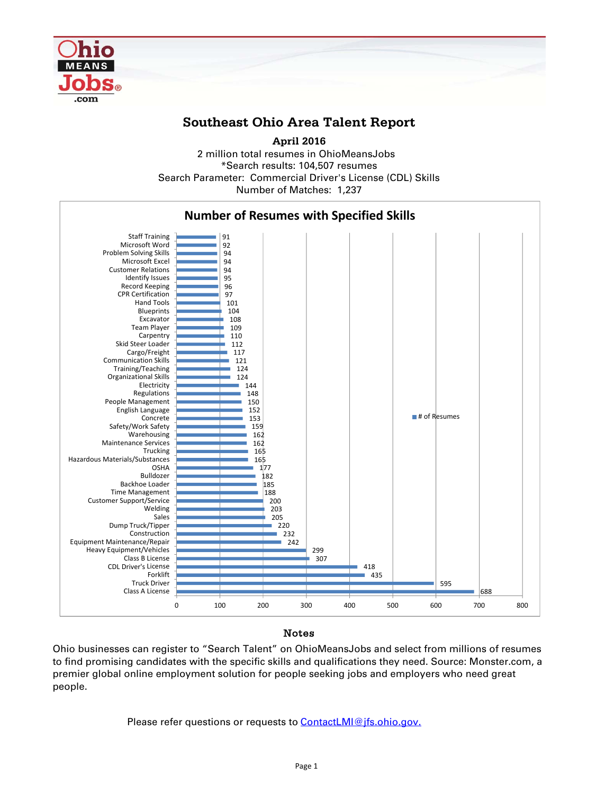

## **Southeast Ohio Area Talent Report**

2 million total resumes in OhioMeansJobs \*Search results: 104,507 resumes Number of Matches: 1,237 **April 2016** Search Parameter: Commercial Driver's License (CDL) Skills



## Notes

Ohio businesses can register to "Search Talent" on OhioMeansJobs and select from millions of resumes to find promising candidates with the specific skills and qualifications they need. Source: Monster.com, a premier global online employment solution for people seeking jobs and employers who need great people.

Please refer questions or requests to **ContactLMI@jfs.ohio.gov.**